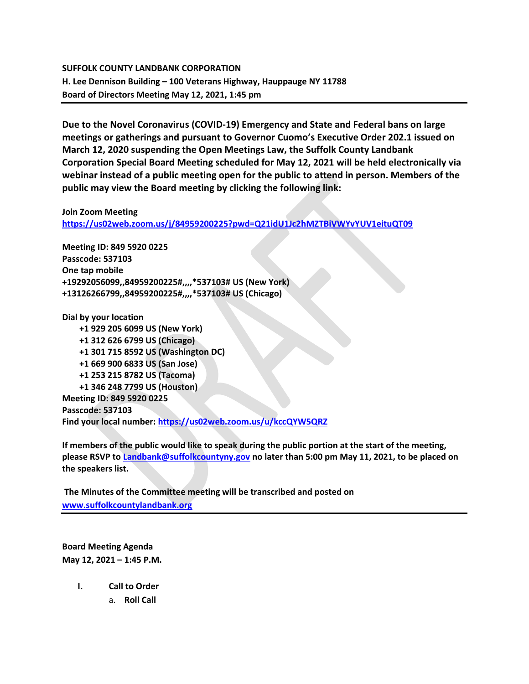## SUFFOLK COUNTY LANDBANK CORPORATION H. Lee Dennison Building – 100 Veterans Highway, Hauppauge NY 11788 Board of Directors Meeting May 12, 2021, 1:45 pm

Due to the Novel Coronavirus (COVID-19) Emergency and State and Federal bans on large meetings or gatherings and pursuant to Governor Cuomo's Executive Order 202.1 issued on March 12, 2020 suspending the Open Meetings Law, the Suffolk County Landbank Corporation Special Board Meeting scheduled for May 12, 2021 will be held electronically via webinar instead of a public meeting open for the public to attend in person. Members of the public may view the Board meeting by clicking the following link:

### Join Zoom Meeting

https://us02web.zoom.us/j/84959200225?pwd=Q21idU1Jc2hMZTBiVWYvYUV1eituQT09

Meeting ID: 849 5920 0225 Passcode: 537103 One tap mobile +19292056099,,84959200225#,,,,\*537103# US (New York) +13126266799,,84959200225#,,,,\*537103# US (Chicago)

Dial by your location +1 929 205 6099 US (New York) +1 312 626 6799 US (Chicago) +1 301 715 8592 US (Washington DC) +1 669 900 6833 US (San Jose) +1 253 215 8782 US (Tacoma) +1 346 248 7799 US (Houston) Meeting ID: 849 5920 0225 Passcode: 537103 Find your local number: https://us02web.zoom.us/u/kccQYW5QRZ

If members of the public would like to speak during the public portion at the start of the meeting, please RSVP to Landbank@suffolkcountyny.gov no later than 5:00 pm May 11, 2021, to be placed on the speakers list.

 The Minutes of the Committee meeting will be transcribed and posted on www.suffolkcountylandbank.org

Board Meeting Agenda May 12, 2021 – 1:45 P.M.

- I. Call to Order
	- a. Roll Call